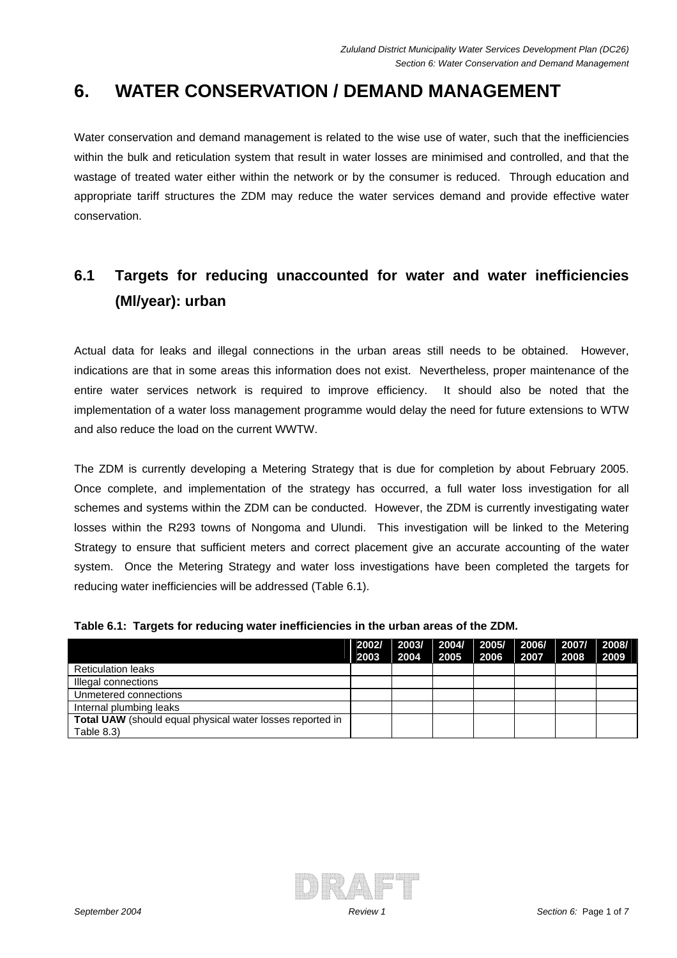## **6. WATER CONSERVATION / DEMAND MANAGEMENT**

Water conservation and demand management is related to the wise use of water, such that the inefficiencies within the bulk and reticulation system that result in water losses are minimised and controlled, and that the wastage of treated water either within the network or by the consumer is reduced. Through education and appropriate tariff structures the ZDM may reduce the water services demand and provide effective water conservation.

## **6.1 Targets for reducing unaccounted for water and water inefficiencies (Ml/year): urban**

Actual data for leaks and illegal connections in the urban areas still needs to be obtained. However, indications are that in some areas this information does not exist. Nevertheless, proper maintenance of the entire water services network is required to improve efficiency. It should also be noted that the implementation of a water loss management programme would delay the need for future extensions to WTW and also reduce the load on the current WWTW.

The ZDM is currently developing a Metering Strategy that is due for completion by about February 2005. Once complete, and implementation of the strategy has occurred, a full water loss investigation for all schemes and systems within the ZDM can be conducted. However, the ZDM is currently investigating water losses within the R293 towns of Nongoma and Ulundi. This investigation will be linked to the Metering Strategy to ensure that sufficient meters and correct placement give an accurate accounting of the water system. Once the Metering Strategy and water loss investigations have been completed the targets for reducing water inefficiencies will be addressed (Table 6.1).

|                                                           | 2002/<br>2003 | $\vert$ 2003/ $\vert$ 2004/ $\vert$ 2005/ $\vert$ 2006/ $\vert$ 2007/ $\vert$ 2008/<br>2004 2005 | 2006 | 2007 | 2008 | 2009 |
|-----------------------------------------------------------|---------------|--------------------------------------------------------------------------------------------------|------|------|------|------|
| <b>Reticulation leaks</b>                                 |               |                                                                                                  |      |      |      |      |
| Illegal connections                                       |               |                                                                                                  |      |      |      |      |
| Unmetered connections                                     |               |                                                                                                  |      |      |      |      |
| Internal plumbing leaks                                   |               |                                                                                                  |      |      |      |      |
| Total UAW (should equal physical water losses reported in |               |                                                                                                  |      |      |      |      |
| Table $8.3$ )                                             |               |                                                                                                  |      |      |      |      |

#### **Table 6.1: Targets for reducing water inefficiencies in the urban areas of the ZDM.**

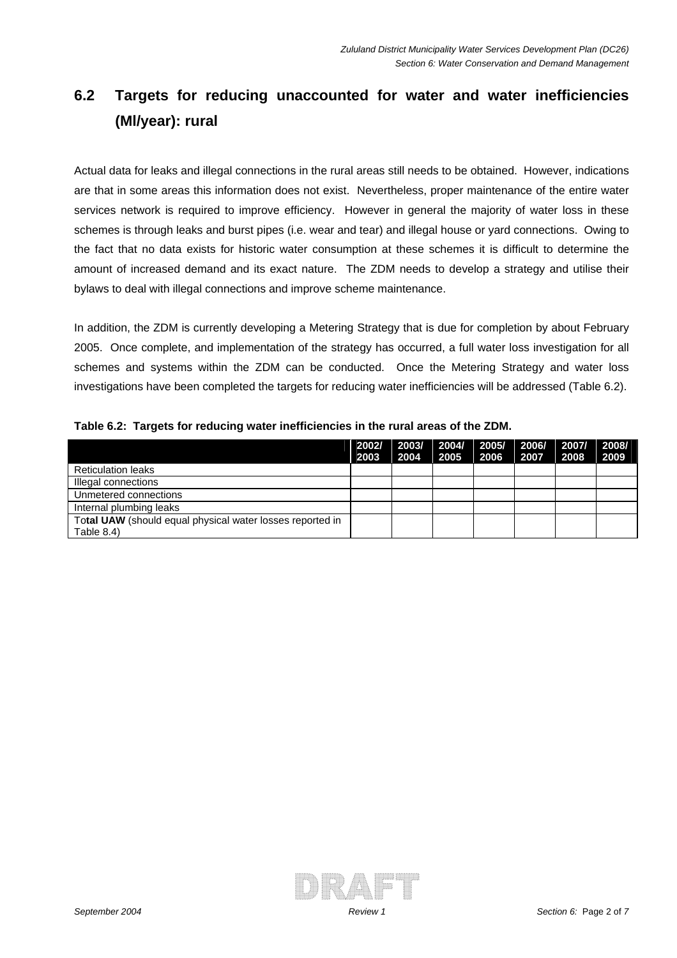# **6.2 Targets for reducing unaccounted for water and water inefficiencies (Ml/year): rural**

Actual data for leaks and illegal connections in the rural areas still needs to be obtained. However, indications are that in some areas this information does not exist. Nevertheless, proper maintenance of the entire water services network is required to improve efficiency. However in general the majority of water loss in these schemes is through leaks and burst pipes (i.e. wear and tear) and illegal house or yard connections. Owing to the fact that no data exists for historic water consumption at these schemes it is difficult to determine the amount of increased demand and its exact nature. The ZDM needs to develop a strategy and utilise their bylaws to deal with illegal connections and improve scheme maintenance.

In addition, the ZDM is currently developing a Metering Strategy that is due for completion by about February 2005. Once complete, and implementation of the strategy has occurred, a full water loss investigation for all schemes and systems within the ZDM can be conducted. Once the Metering Strategy and water loss investigations have been completed the targets for reducing water inefficiencies will be addressed (Table 6.2).

|  |  |  |  |  | Table 6.2: Targets for reducing water inefficiencies in the rural areas of the ZDM. |
|--|--|--|--|--|-------------------------------------------------------------------------------------|
|--|--|--|--|--|-------------------------------------------------------------------------------------|

|                                                           | 2002/<br>2003 | 2003/ 2004/ 2005/ 2006/<br>2004 | 2005 | 2006 | 2007 | 2007/<br>2008 | 2008/<br>2009 |
|-----------------------------------------------------------|---------------|---------------------------------|------|------|------|---------------|---------------|
| <b>Reticulation leaks</b>                                 |               |                                 |      |      |      |               |               |
| Illegal connections                                       |               |                                 |      |      |      |               |               |
| Unmetered connections                                     |               |                                 |      |      |      |               |               |
| Internal plumbing leaks                                   |               |                                 |      |      |      |               |               |
| Total UAW (should equal physical water losses reported in |               |                                 |      |      |      |               |               |
| Table $8.4$ )                                             |               |                                 |      |      |      |               |               |

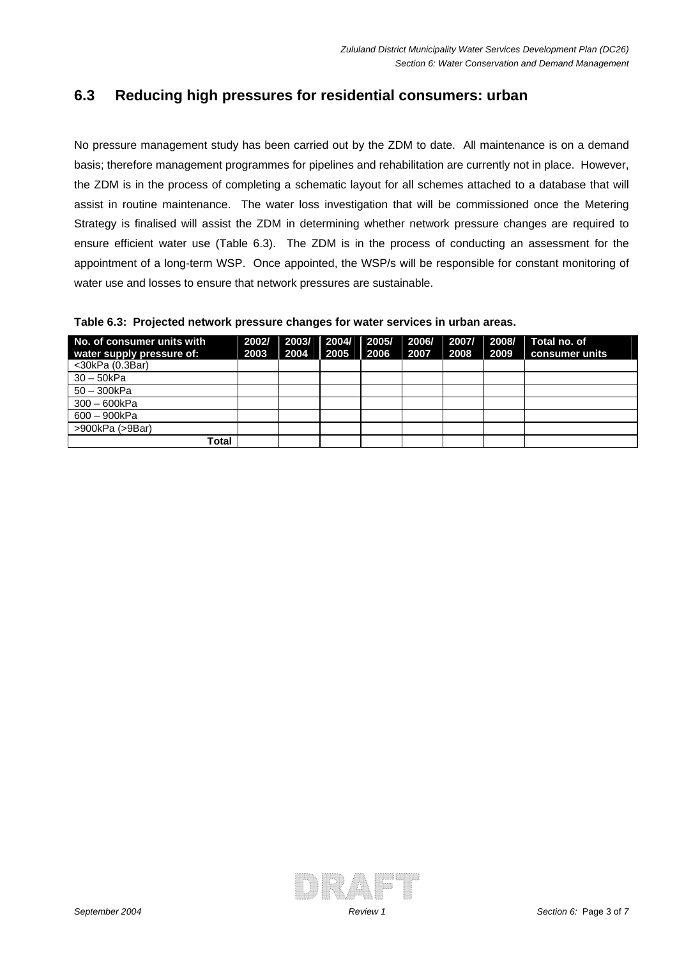### **6.3 Reducing high pressures for residential consumers: urban**

No pressure management study has been carried out by the ZDM to date. All maintenance is on a demand basis; therefore management programmes for pipelines and rehabilitation are currently not in place. However, the ZDM is in the process of completing a schematic layout for all schemes attached to a database that will assist in routine maintenance. The water loss investigation that will be commissioned once the Metering Strategy is finalised will assist the ZDM in determining whether network pressure changes are required to ensure efficient water use (Table 6.3). The ZDM is in the process of conducting an assessment for the appointment of a long-term WSP. Once appointed, the WSP/s will be responsible for constant monitoring of water use and losses to ensure that network pressures are sustainable.

**Table 6.3: Projected network pressure changes for water services in urban areas.** 

| No. of consumer units with<br>water supply pressure of: | 2002/<br>2003 | 2003/<br>2004 | 2004/<br>2005 | 2005/<br>2006 | 2006/<br>2007 | 2007/ I<br>2008 | 2008/<br>2009 | Total no. of<br>consumer units |
|---------------------------------------------------------|---------------|---------------|---------------|---------------|---------------|-----------------|---------------|--------------------------------|
| $<$ 30kPa $(0.3Bar)$                                    |               |               |               |               |               |                 |               |                                |
| $30 - 50kPa$                                            |               |               |               |               |               |                 |               |                                |
| 50 - 300kPa                                             |               |               |               |               |               |                 |               |                                |
| $300 - 600kPa$                                          |               |               |               |               |               |                 |               |                                |
| 600 - 900kPa                                            |               |               |               |               |               |                 |               |                                |
| >900kPa (>9Bar)                                         |               |               |               |               |               |                 |               |                                |
| Total                                                   |               |               |               |               |               |                 |               |                                |

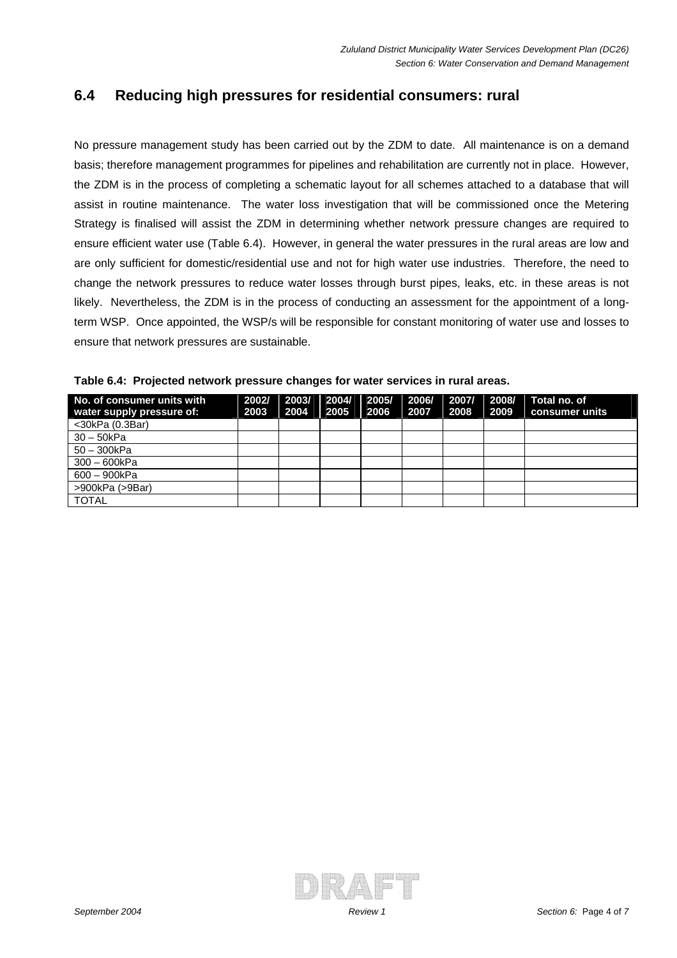### **6.4 Reducing high pressures for residential consumers: rural**

No pressure management study has been carried out by the ZDM to date. All maintenance is on a demand basis; therefore management programmes for pipelines and rehabilitation are currently not in place. However, the ZDM is in the process of completing a schematic layout for all schemes attached to a database that will assist in routine maintenance. The water loss investigation that will be commissioned once the Metering Strategy is finalised will assist the ZDM in determining whether network pressure changes are required to ensure efficient water use (Table 6.4). However, in general the water pressures in the rural areas are low and are only sufficient for domestic/residential use and not for high water use industries. Therefore, the need to change the network pressures to reduce water losses through burst pipes, leaks, etc. in these areas is not likely. Nevertheless, the ZDM is in the process of conducting an assessment for the appointment of a longterm WSP. Once appointed, the WSP/s will be responsible for constant monitoring of water use and losses to ensure that network pressures are sustainable.

| No. of consumer units with | 2002/ | 2003/ | 2004/ | 2005/ | 2006/ | 2007/ 2008/ |      | Total no. of   |
|----------------------------|-------|-------|-------|-------|-------|-------------|------|----------------|
| water supply pressure of:  | 2003  | 2004  | 2005  | 2006  | 2007  | 2008        | 2009 | consumer units |
| $<$ 30kPa $(0.3Bar)$       |       |       |       |       |       |             |      |                |
| $30 - 50kPa$               |       |       |       |       |       |             |      |                |
| $50 - 300kPa$              |       |       |       |       |       |             |      |                |
| $300 - 600kPa$             |       |       |       |       |       |             |      |                |
| 600 - 900kPa               |       |       |       |       |       |             |      |                |
| >900kPa (>9Bar)            |       |       |       |       |       |             |      |                |
| <b>TOTAL</b>               |       |       |       |       |       |             |      |                |

**Table 6.4: Projected network pressure changes for water services in rural areas.** 

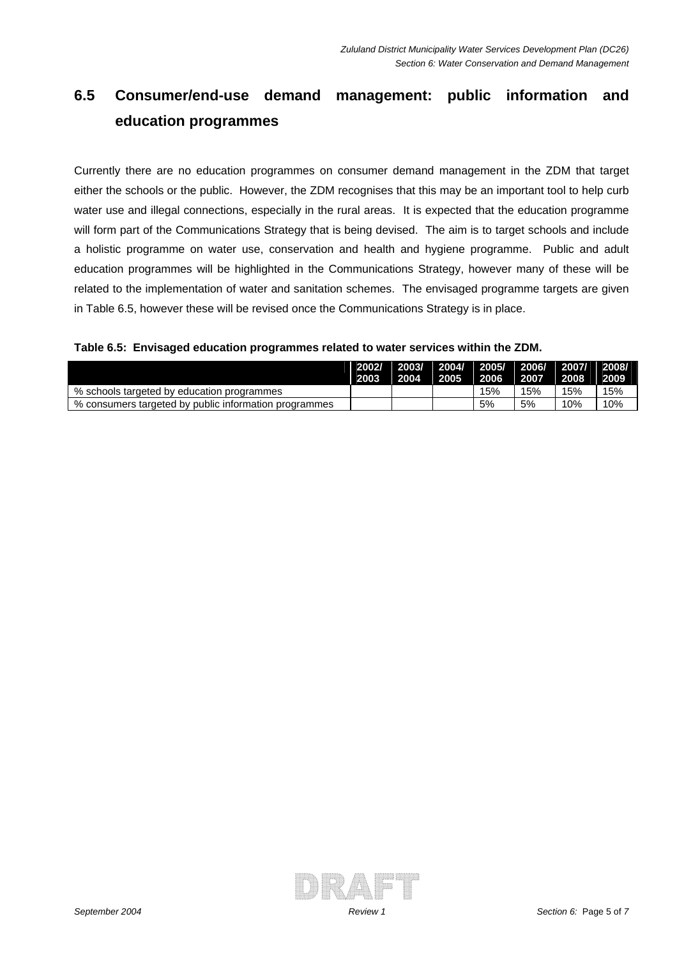# **6.5 Consumer/end-use demand management: public information and education programmes**

Currently there are no education programmes on consumer demand management in the ZDM that target either the schools or the public. However, the ZDM recognises that this may be an important tool to help curb water use and illegal connections, especially in the rural areas. It is expected that the education programme will form part of the Communications Strategy that is being devised. The aim is to target schools and include a holistic programme on water use, conservation and health and hygiene programme. Public and adult education programmes will be highlighted in the Communications Strategy, however many of these will be related to the implementation of water and sanitation schemes. The envisaged programme targets are given in Table 6.5, however these will be revised once the Communications Strategy is in place.

#### **Table 6.5: Envisaged education programmes related to water services within the ZDM.**

|                                                       | 2003 | 2004 | 2002/ 2003/ 2004/ 2005/ 2006/ 2007/ 2008/<br>$\vert$ 2005 | 2006 | 2007 | $\sqrt{2008}$ | 2009 |
|-------------------------------------------------------|------|------|-----------------------------------------------------------|------|------|---------------|------|
| % schools targeted by education programmes            |      |      |                                                           | 15%  | 15%  | 15%           | 15%  |
| % consumers targeted by public information programmes |      |      |                                                           | 5%   | 5%   | 10%           | 10%  |

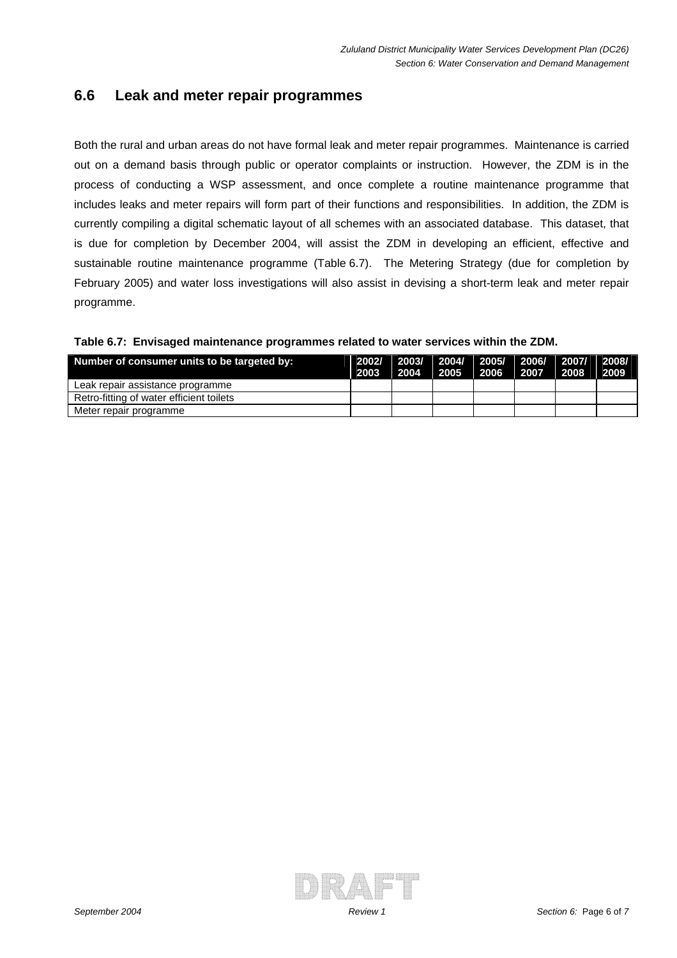### **6.6 Leak and meter repair programmes**

Both the rural and urban areas do not have formal leak and meter repair programmes. Maintenance is carried out on a demand basis through public or operator complaints or instruction. However, the ZDM is in the process of conducting a WSP assessment, and once complete a routine maintenance programme that includes leaks and meter repairs will form part of their functions and responsibilities. In addition, the ZDM is currently compiling a digital schematic layout of all schemes with an associated database. This dataset, that is due for completion by December 2004, will assist the ZDM in developing an efficient, effective and sustainable routine maintenance programme (Table 6.7). The Metering Strategy (due for completion by February 2005) and water loss investigations will also assist in devising a short-term leak and meter repair programme.

| Table 6.7: Envisaged maintenance programmes related to water services within the ZDM. |
|---------------------------------------------------------------------------------------|
|---------------------------------------------------------------------------------------|

| Number of consumer units to be targeted by: | 2003 | 2002/ 2003/ 2004/ 2005/ 2006/ 2007/ 2008/<br>   2004    2005    2006    2007    2008    2009 |  |  |
|---------------------------------------------|------|----------------------------------------------------------------------------------------------|--|--|
| Leak repair assistance programme            |      |                                                                                              |  |  |
| Retro-fitting of water efficient toilets    |      |                                                                                              |  |  |
| Meter repair programme                      |      |                                                                                              |  |  |